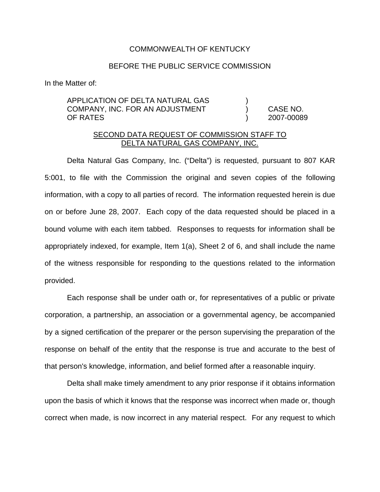## COMMONWEALTH OF KENTUCKY

## BEFORE THE PUBLIC SERVICE COMMISSION

In the Matter of:

APPLICATION OF DELTA NATURAL GAS ) COMPANY, INC. FOR AN ADJUSTMENT ) CASE NO. OF RATES ) 2007-00089

## SECOND DATA REQUEST OF COMMISSION STAFF TO DELTA NATURAL GAS COMPANY, INC.

Delta Natural Gas Company, Inc. ("Delta") is requested, pursuant to 807 KAR 5:001, to file with the Commission the original and seven copies of the following information, with a copy to all parties of record. The information requested herein is due on or before June 28, 2007. Each copy of the data requested should be placed in a bound volume with each item tabbed. Responses to requests for information shall be appropriately indexed, for example, Item 1(a), Sheet 2 of 6, and shall include the name of the witness responsible for responding to the questions related to the information provided.

Each response shall be under oath or, for representatives of a public or private corporation, a partnership, an association or a governmental agency, be accompanied by a signed certification of the preparer or the person supervising the preparation of the response on behalf of the entity that the response is true and accurate to the best of that person's knowledge, information, and belief formed after a reasonable inquiry.

Delta shall make timely amendment to any prior response if it obtains information upon the basis of which it knows that the response was incorrect when made or, though correct when made, is now incorrect in any material respect. For any request to which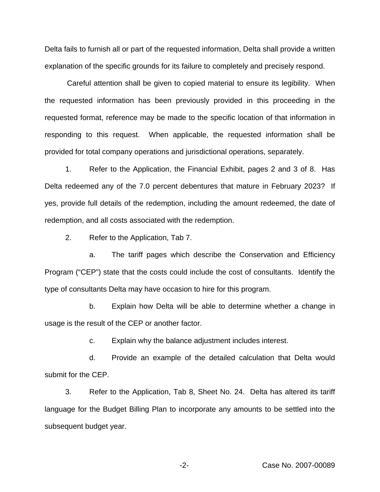Delta fails to furnish all or part of the requested information, Delta shall provide a written explanation of the specific grounds for its failure to completely and precisely respond.

Careful attention shall be given to copied material to ensure its legibility. When the requested information has been previously provided in this proceeding in the requested format, reference may be made to the specific location of that information in responding to this request. When applicable, the requested information shall be provided for total company operations and jurisdictional operations, separately.

1. Refer to the Application, the Financial Exhibit, pages 2 and 3 of 8. Has Delta redeemed any of the 7.0 percent debentures that mature in February 2023? If yes, provide full details of the redemption, including the amount redeemed, the date of redemption, and all costs associated with the redemption.

2. Refer to the Application, Tab 7.

a. The tariff pages which describe the Conservation and Efficiency Program ("CEP") state that the costs could include the cost of consultants. Identify the type of consultants Delta may have occasion to hire for this program.

b. Explain how Delta will be able to determine whether a change in usage is the result of the CEP or another factor.

c. Explain why the balance adjustment includes interest.

d. Provide an example of the detailed calculation that Delta would submit for the CEP.

3. Refer to the Application, Tab 8, Sheet No. 24. Delta has altered its tariff language for the Budget Billing Plan to incorporate any amounts to be settled into the subsequent budget year.

-2- Case No. 2007-00089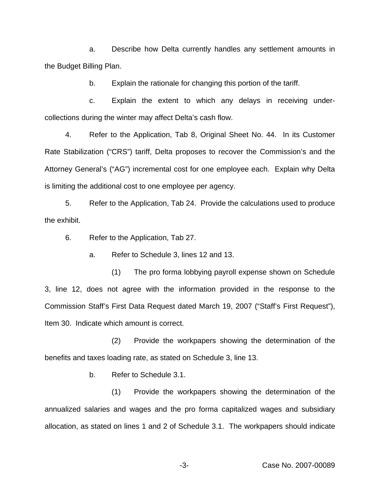a. Describe how Delta currently handles any settlement amounts in the Budget Billing Plan.

b. Explain the rationale for changing this portion of the tariff.

c. Explain the extent to which any delays in receiving undercollections during the winter may affect Delta's cash flow.

4. Refer to the Application, Tab 8, Original Sheet No. 44. In its Customer Rate Stabilization ("CRS") tariff, Delta proposes to recover the Commission's and the Attorney General's ("AG") incremental cost for one employee each. Explain why Delta is limiting the additional cost to one employee per agency.

5. Refer to the Application, Tab 24. Provide the calculations used to produce the exhibit.

6. Refer to the Application, Tab 27.

a. Refer to Schedule 3, lines 12 and 13.

(1) The pro forma lobbying payroll expense shown on Schedule 3, line 12, does not agree with the information provided in the response to the Commission Staff's First Data Request dated March 19, 2007 ("Staff's First Request"), Item 30. Indicate which amount is correct.

(2) Provide the workpapers showing the determination of the benefits and taxes loading rate, as stated on Schedule 3, line 13.

b. Refer to Schedule 3.1.

(1) Provide the workpapers showing the determination of the annualized salaries and wages and the pro forma capitalized wages and subsidiary allocation, as stated on lines 1 and 2 of Schedule 3.1. The workpapers should indicate

-3- Case No. 2007-00089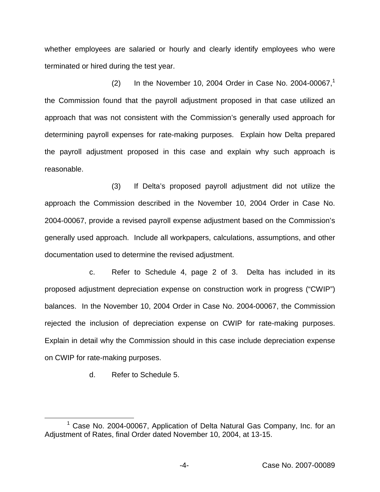whether employees are salaried or hourly and clearly identify employees who were terminated or hired during the test year.

(2) In the November 10, 2004 Order in Case No. 2004-00067,<sup>1</sup> the Commission found that the payroll adjustment proposed in that case utilized an approach that was not consistent with the Commission's generally used approach for determining payroll expenses for rate-making purposes. Explain how Delta prepared the payroll adjustment proposed in this case and explain why such approach is reasonable.

(3) If Delta's proposed payroll adjustment did not utilize the approach the Commission described in the November 10, 2004 Order in Case No. 2004-00067, provide a revised payroll expense adjustment based on the Commission's generally used approach. Include all workpapers, calculations, assumptions, and other documentation used to determine the revised adjustment.

c. Refer to Schedule 4, page 2 of 3. Delta has included in its proposed adjustment depreciation expense on construction work in progress ("CWIP") balances. In the November 10, 2004 Order in Case No. 2004-00067, the Commission rejected the inclusion of depreciation expense on CWIP for rate-making purposes. Explain in detail why the Commission should in this case include depreciation expense on CWIP for rate-making purposes.

d. Refer to Schedule 5.

<sup>&</sup>lt;sup>1</sup> Case No. 2004-00067, Application of Delta Natural Gas Company, Inc. for an Adjustment of Rates, final Order dated November 10, 2004, at 13-15.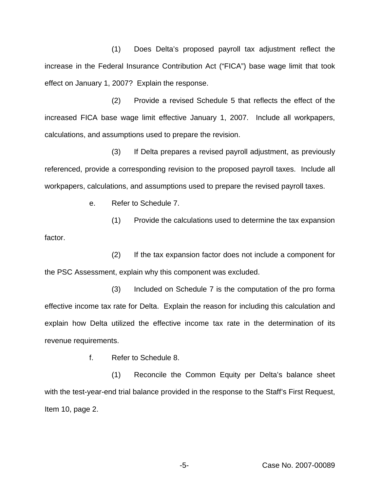(1) Does Delta's proposed payroll tax adjustment reflect the increase in the Federal Insurance Contribution Act ("FICA") base wage limit that took effect on January 1, 2007? Explain the response.

(2) Provide a revised Schedule 5 that reflects the effect of the increased FICA base wage limit effective January 1, 2007. Include all workpapers, calculations, and assumptions used to prepare the revision.

(3) If Delta prepares a revised payroll adjustment, as previously referenced, provide a corresponding revision to the proposed payroll taxes. Include all workpapers, calculations, and assumptions used to prepare the revised payroll taxes.

e. Refer to Schedule 7.

(1) Provide the calculations used to determine the tax expansion factor.

(2) If the tax expansion factor does not include a component for the PSC Assessment, explain why this component was excluded.

(3) Included on Schedule 7 is the computation of the pro forma effective income tax rate for Delta. Explain the reason for including this calculation and explain how Delta utilized the effective income tax rate in the determination of its revenue requirements.

f. Refer to Schedule 8.

(1) Reconcile the Common Equity per Delta's balance sheet with the test-year-end trial balance provided in the response to the Staff's First Request, Item 10, page 2.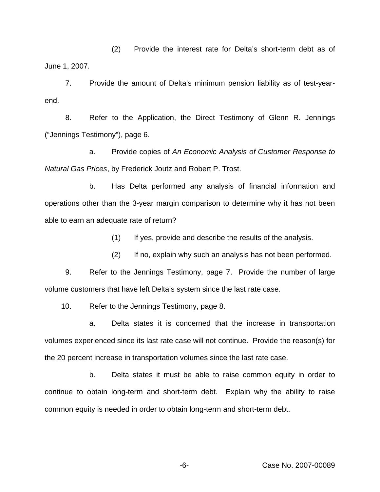(2) Provide the interest rate for Delta's short-term debt as of June 1, 2007.

7. Provide the amount of Delta's minimum pension liability as of test-yearend.

8. Refer to the Application, the Direct Testimony of Glenn R. Jennings ("Jennings Testimony"), page 6.

a. Provide copies of *An Economic Analysis of Customer Response to Natural Gas Prices*, by Frederick Joutz and Robert P. Trost.

b. Has Delta performed any analysis of financial information and operations other than the 3-year margin comparison to determine why it has not been able to earn an adequate rate of return?

(1) If yes, provide and describe the results of the analysis.

(2) If no, explain why such an analysis has not been performed.

9. Refer to the Jennings Testimony, page 7. Provide the number of large volume customers that have left Delta's system since the last rate case.

10. Refer to the Jennings Testimony, page 8.

a. Delta states it is concerned that the increase in transportation volumes experienced since its last rate case will not continue. Provide the reason(s) for the 20 percent increase in transportation volumes since the last rate case.

b. Delta states it must be able to raise common equity in order to continue to obtain long-term and short-term debt. Explain why the ability to raise common equity is needed in order to obtain long-term and short-term debt.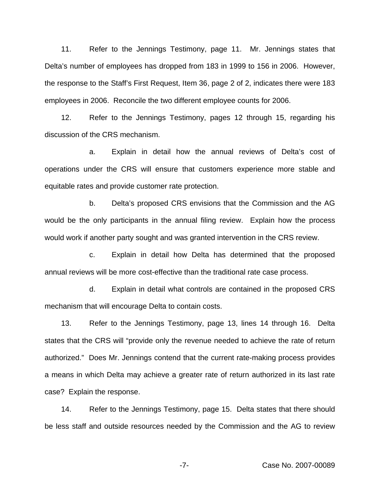11. Refer to the Jennings Testimony, page 11. Mr. Jennings states that Delta's number of employees has dropped from 183 in 1999 to 156 in 2006. However, the response to the Staff's First Request, Item 36, page 2 of 2, indicates there were 183 employees in 2006. Reconcile the two different employee counts for 2006.

12. Refer to the Jennings Testimony, pages 12 through 15, regarding his discussion of the CRS mechanism.

a. Explain in detail how the annual reviews of Delta's cost of operations under the CRS will ensure that customers experience more stable and equitable rates and provide customer rate protection.

b. Delta's proposed CRS envisions that the Commission and the AG would be the only participants in the annual filing review. Explain how the process would work if another party sought and was granted intervention in the CRS review.

c. Explain in detail how Delta has determined that the proposed annual reviews will be more cost-effective than the traditional rate case process.

d. Explain in detail what controls are contained in the proposed CRS mechanism that will encourage Delta to contain costs.

13. Refer to the Jennings Testimony, page 13, lines 14 through 16. Delta states that the CRS will "provide only the revenue needed to achieve the rate of return authorized." Does Mr. Jennings contend that the current rate-making process provides a means in which Delta may achieve a greater rate of return authorized in its last rate case? Explain the response.

14. Refer to the Jennings Testimony, page 15. Delta states that there should be less staff and outside resources needed by the Commission and the AG to review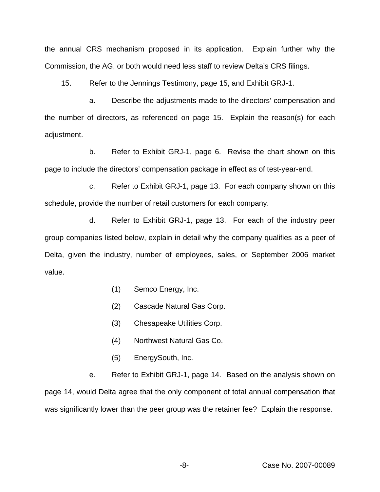the annual CRS mechanism proposed in its application. Explain further why the Commission, the AG, or both would need less staff to review Delta's CRS filings.

15. Refer to the Jennings Testimony, page 15, and Exhibit GRJ-1.

a. Describe the adjustments made to the directors' compensation and the number of directors, as referenced on page 15. Explain the reason(s) for each adjustment.

b. Refer to Exhibit GRJ-1, page 6. Revise the chart shown on this page to include the directors' compensation package in effect as of test-year-end.

c. Refer to Exhibit GRJ-1, page 13. For each company shown on this schedule, provide the number of retail customers for each company.

d. Refer to Exhibit GRJ-1, page 13. For each of the industry peer group companies listed below, explain in detail why the company qualifies as a peer of Delta, given the industry, number of employees, sales, or September 2006 market value.

- (1) Semco Energy, Inc.
- (2) Cascade Natural Gas Corp.
- (3) Chesapeake Utilities Corp.
- (4) Northwest Natural Gas Co.
- (5) EnergySouth, Inc.

e. Refer to Exhibit GRJ-1, page 14. Based on the analysis shown on page 14, would Delta agree that the only component of total annual compensation that was significantly lower than the peer group was the retainer fee? Explain the response.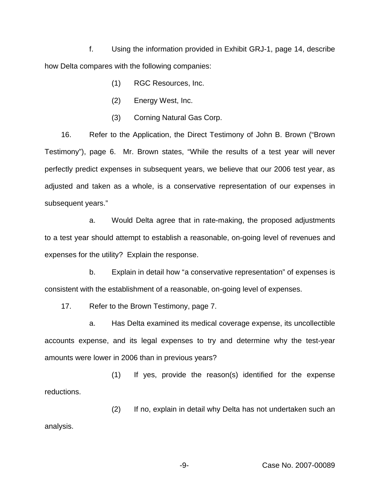f. Using the information provided in Exhibit GRJ-1, page 14, describe how Delta compares with the following companies:

- (1) RGC Resources, Inc.
- (2) Energy West, Inc.
- (3) Corning Natural Gas Corp.

16. Refer to the Application, the Direct Testimony of John B. Brown ("Brown Testimony"), page 6. Mr. Brown states, "While the results of a test year will never perfectly predict expenses in subsequent years, we believe that our 2006 test year, as adjusted and taken as a whole, is a conservative representation of our expenses in subsequent years."

a. Would Delta agree that in rate-making, the proposed adjustments to a test year should attempt to establish a reasonable, on-going level of revenues and expenses for the utility? Explain the response.

b. Explain in detail how "a conservative representation" of expenses is consistent with the establishment of a reasonable, on-going level of expenses.

17. Refer to the Brown Testimony, page 7.

a. Has Delta examined its medical coverage expense, its uncollectible accounts expense, and its legal expenses to try and determine why the test-year amounts were lower in 2006 than in previous years?

(1) If yes, provide the reason(s) identified for the expense reductions.

(2) If no, explain in detail why Delta has not undertaken such an analysis.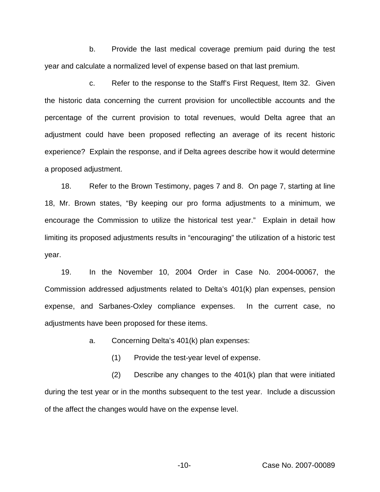b. Provide the last medical coverage premium paid during the test year and calculate a normalized level of expense based on that last premium.

c. Refer to the response to the Staff's First Request, Item 32. Given the historic data concerning the current provision for uncollectible accounts and the percentage of the current provision to total revenues, would Delta agree that an adjustment could have been proposed reflecting an average of its recent historic experience? Explain the response, and if Delta agrees describe how it would determine a proposed adjustment.

18. Refer to the Brown Testimony, pages 7 and 8. On page 7, starting at line 18, Mr. Brown states, "By keeping our pro forma adjustments to a minimum, we encourage the Commission to utilize the historical test year." Explain in detail how limiting its proposed adjustments results in "encouraging" the utilization of a historic test year.

19. In the November 10, 2004 Order in Case No. 2004-00067, the Commission addressed adjustments related to Delta's 401(k) plan expenses, pension expense, and Sarbanes-Oxley compliance expenses. In the current case, no adjustments have been proposed for these items.

a. Concerning Delta's 401(k) plan expenses:

(1) Provide the test-year level of expense.

(2) Describe any changes to the 401(k) plan that were initiated during the test year or in the months subsequent to the test year. Include a discussion of the affect the changes would have on the expense level.

-10- Case No. 2007-00089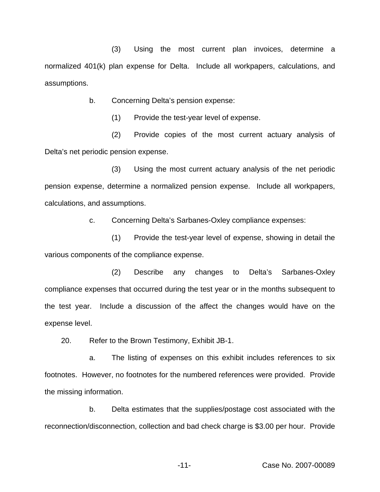(3) Using the most current plan invoices, determine a normalized 401(k) plan expense for Delta. Include all workpapers, calculations, and assumptions.

b. Concerning Delta's pension expense:

(1) Provide the test-year level of expense.

(2) Provide copies of the most current actuary analysis of Delta's net periodic pension expense.

(3) Using the most current actuary analysis of the net periodic pension expense, determine a normalized pension expense. Include all workpapers, calculations, and assumptions.

c. Concerning Delta's Sarbanes-Oxley compliance expenses:

(1) Provide the test-year level of expense, showing in detail the various components of the compliance expense.

(2) Describe any changes to Delta's Sarbanes-Oxley compliance expenses that occurred during the test year or in the months subsequent to the test year. Include a discussion of the affect the changes would have on the expense level.

20. Refer to the Brown Testimony, Exhibit JB-1.

a. The listing of expenses on this exhibit includes references to six footnotes. However, no footnotes for the numbered references were provided. Provide the missing information.

b. Delta estimates that the supplies/postage cost associated with the reconnection/disconnection, collection and bad check charge is \$3.00 per hour. Provide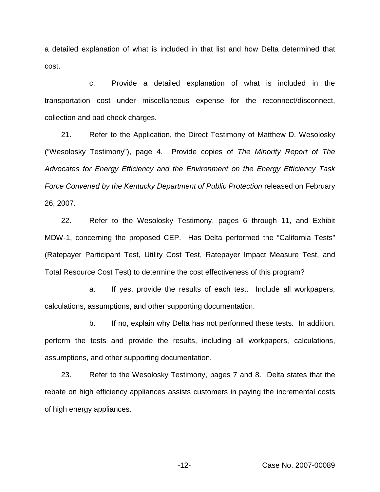a detailed explanation of what is included in that list and how Delta determined that cost.

c. Provide a detailed explanation of what is included in the transportation cost under miscellaneous expense for the reconnect/disconnect, collection and bad check charges.

21. Refer to the Application, the Direct Testimony of Matthew D. Wesolosky ("Wesolosky Testimony"), page 4. Provide copies of *The Minority Report of The Advocates for Energy Efficiency and the Environment on the Energy Efficiency Task Force Convened by the Kentucky Department of Public Protection* released on February 26, 2007.

22. Refer to the Wesolosky Testimony, pages 6 through 11, and Exhibit MDW-1, concerning the proposed CEP. Has Delta performed the "California Tests" (Ratepayer Participant Test, Utility Cost Test, Ratepayer Impact Measure Test, and Total Resource Cost Test) to determine the cost effectiveness of this program?

a. If yes, provide the results of each test. Include all workpapers, calculations, assumptions, and other supporting documentation.

b. If no, explain why Delta has not performed these tests. In addition, perform the tests and provide the results, including all workpapers, calculations, assumptions, and other supporting documentation.

23. Refer to the Wesolosky Testimony, pages 7 and 8. Delta states that the rebate on high efficiency appliances assists customers in paying the incremental costs of high energy appliances.

-12- Case No. 2007-00089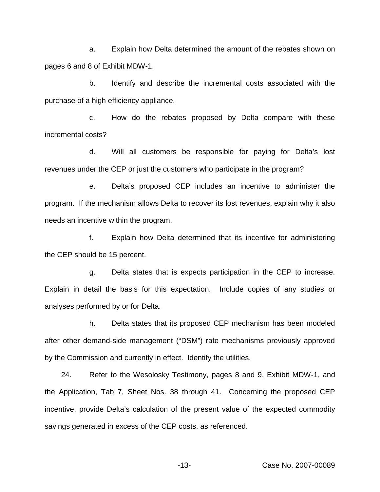a. Explain how Delta determined the amount of the rebates shown on pages 6 and 8 of Exhibit MDW-1.

b. Identify and describe the incremental costs associated with the purchase of a high efficiency appliance.

c. How do the rebates proposed by Delta compare with these incremental costs?

d. Will all customers be responsible for paying for Delta's lost revenues under the CEP or just the customers who participate in the program?

e. Delta's proposed CEP includes an incentive to administer the program. If the mechanism allows Delta to recover its lost revenues, explain why it also needs an incentive within the program.

f. Explain how Delta determined that its incentive for administering the CEP should be 15 percent.

g. Delta states that is expects participation in the CEP to increase. Explain in detail the basis for this expectation. Include copies of any studies or analyses performed by or for Delta.

h. Delta states that its proposed CEP mechanism has been modeled after other demand-side management ("DSM") rate mechanisms previously approved by the Commission and currently in effect. Identify the utilities.

24. Refer to the Wesolosky Testimony, pages 8 and 9, Exhibit MDW-1, and the Application, Tab 7, Sheet Nos. 38 through 41. Concerning the proposed CEP incentive, provide Delta's calculation of the present value of the expected commodity savings generated in excess of the CEP costs, as referenced.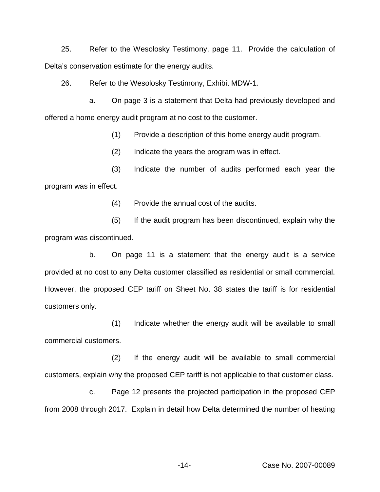25. Refer to the Wesolosky Testimony, page 11. Provide the calculation of Delta's conservation estimate for the energy audits.

26. Refer to the Wesolosky Testimony, Exhibit MDW-1.

a. On page 3 is a statement that Delta had previously developed and offered a home energy audit program at no cost to the customer.

(1) Provide a description of this home energy audit program.

(2) Indicate the years the program was in effect.

(3) Indicate the number of audits performed each year the program was in effect.

(4) Provide the annual cost of the audits.

(5) If the audit program has been discontinued, explain why the program was discontinued.

b. On page 11 is a statement that the energy audit is a service provided at no cost to any Delta customer classified as residential or small commercial. However, the proposed CEP tariff on Sheet No. 38 states the tariff is for residential customers only.

(1) Indicate whether the energy audit will be available to small commercial customers.

(2) If the energy audit will be available to small commercial customers, explain why the proposed CEP tariff is not applicable to that customer class.

c. Page 12 presents the projected participation in the proposed CEP from 2008 through 2017. Explain in detail how Delta determined the number of heating

-14- Case No. 2007-00089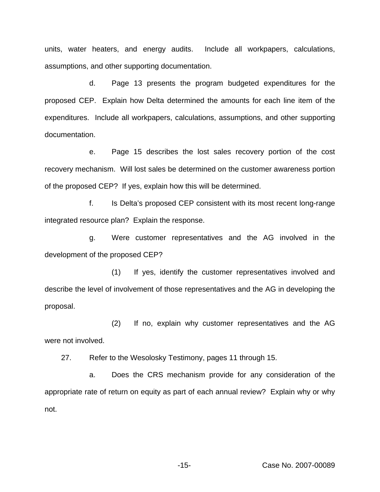units, water heaters, and energy audits. Include all workpapers, calculations, assumptions, and other supporting documentation.

d. Page 13 presents the program budgeted expenditures for the proposed CEP. Explain how Delta determined the amounts for each line item of the expenditures. Include all workpapers, calculations, assumptions, and other supporting documentation.

e. Page 15 describes the lost sales recovery portion of the cost recovery mechanism. Will lost sales be determined on the customer awareness portion of the proposed CEP? If yes, explain how this will be determined.

f. Is Delta's proposed CEP consistent with its most recent long-range integrated resource plan? Explain the response.

g. Were customer representatives and the AG involved in the development of the proposed CEP?

(1) If yes, identify the customer representatives involved and describe the level of involvement of those representatives and the AG in developing the proposal.

(2) If no, explain why customer representatives and the AG were not involved.

27. Refer to the Wesolosky Testimony, pages 11 through 15.

a. Does the CRS mechanism provide for any consideration of the appropriate rate of return on equity as part of each annual review? Explain why or why not.

-15- Case No. 2007-00089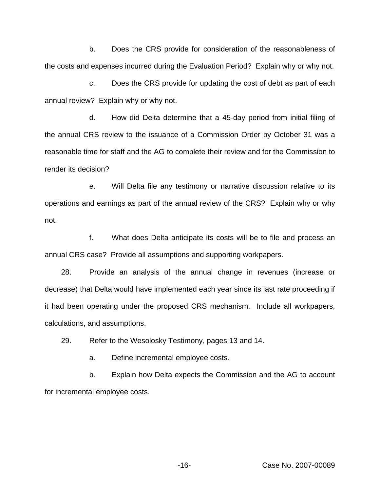b. Does the CRS provide for consideration of the reasonableness of the costs and expenses incurred during the Evaluation Period? Explain why or why not.

c. Does the CRS provide for updating the cost of debt as part of each annual review? Explain why or why not.

d. How did Delta determine that a 45-day period from initial filing of the annual CRS review to the issuance of a Commission Order by October 31 was a reasonable time for staff and the AG to complete their review and for the Commission to render its decision?

e. Will Delta file any testimony or narrative discussion relative to its operations and earnings as part of the annual review of the CRS? Explain why or why not.

f. What does Delta anticipate its costs will be to file and process an annual CRS case? Provide all assumptions and supporting workpapers.

28. Provide an analysis of the annual change in revenues (increase or decrease) that Delta would have implemented each year since its last rate proceeding if it had been operating under the proposed CRS mechanism. Include all workpapers, calculations, and assumptions.

29. Refer to the Wesolosky Testimony, pages 13 and 14.

a. Define incremental employee costs.

b. Explain how Delta expects the Commission and the AG to account for incremental employee costs.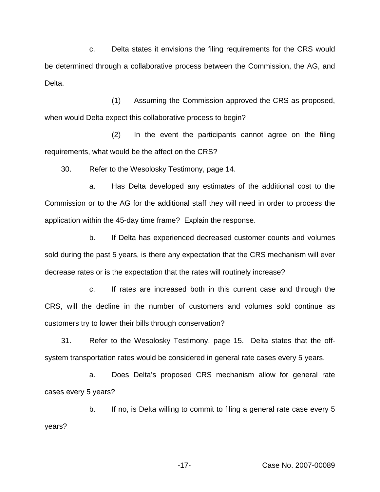c. Delta states it envisions the filing requirements for the CRS would be determined through a collaborative process between the Commission, the AG, and Delta.

(1) Assuming the Commission approved the CRS as proposed, when would Delta expect this collaborative process to begin?

(2) In the event the participants cannot agree on the filing requirements, what would be the affect on the CRS?

30. Refer to the Wesolosky Testimony, page 14.

a. Has Delta developed any estimates of the additional cost to the Commission or to the AG for the additional staff they will need in order to process the application within the 45-day time frame? Explain the response.

b. If Delta has experienced decreased customer counts and volumes sold during the past 5 years, is there any expectation that the CRS mechanism will ever decrease rates or is the expectation that the rates will routinely increase?

c. If rates are increased both in this current case and through the CRS, will the decline in the number of customers and volumes sold continue as customers try to lower their bills through conservation?

31. Refer to the Wesolosky Testimony, page 15. Delta states that the offsystem transportation rates would be considered in general rate cases every 5 years.

a. Does Delta's proposed CRS mechanism allow for general rate cases every 5 years?

b. If no, is Delta willing to commit to filing a general rate case every 5 years?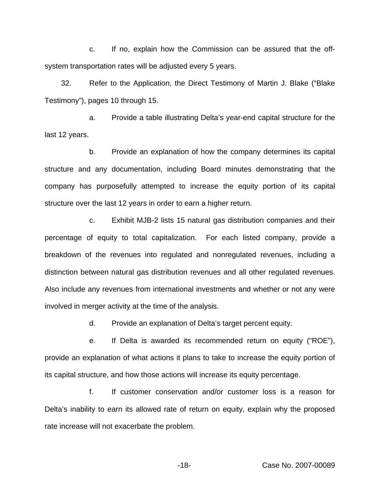c. If no, explain how the Commission can be assured that the offsystem transportation rates will be adjusted every 5 years.

32. Refer to the Application, the Direct Testimony of Martin J. Blake ("Blake Testimony"), pages 10 through 15.

a. Provide a table illustrating Delta's year-end capital structure for the last 12 years.

b. Provide an explanation of how the company determines its capital structure and any documentation, including Board minutes demonstrating that the company has purposefully attempted to increase the equity portion of its capital structure over the last 12 years in order to earn a higher return.

c. Exhibit MJB-2 lists 15 natural gas distribution companies and their percentage of equity to total capitalization. For each listed company, provide a breakdown of the revenues into regulated and nonregulated revenues, including a distinction between natural gas distribution revenues and all other regulated revenues. Also include any revenues from international investments and whether or not any were involved in merger activity at the time of the analysis.

d. Provide an explanation of Delta's target percent equity.

e. If Delta is awarded its recommended return on equity ("ROE"), provide an explanation of what actions it plans to take to increase the equity portion of its capital structure, and how those actions will increase its equity percentage.

f. If customer conservation and/or customer loss is a reason for Delta's inability to earn its allowed rate of return on equity, explain why the proposed rate increase will not exacerbate the problem.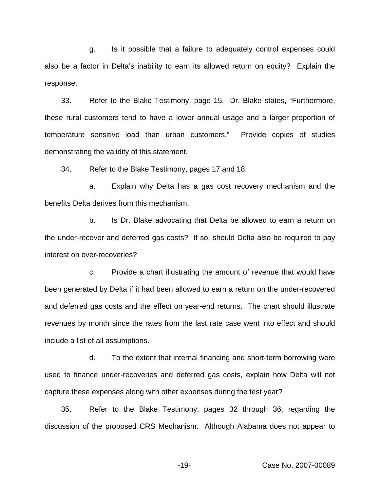g. Is it possible that a failure to adequately control expenses could also be a factor in Delta's inability to earn its allowed return on equity? Explain the response.

33. Refer to the Blake Testimony, page 15. Dr. Blake states, "Furthermore, these rural customers tend to have a lower annual usage and a larger proportion of temperature sensitive load than urban customers." Provide copies of studies demonstrating the validity of this statement.

34. Refer to the Blake Testimony, pages 17 and 18.

a. Explain why Delta has a gas cost recovery mechanism and the benefits Delta derives from this mechanism.

b. Is Dr. Blake advocating that Delta be allowed to earn a return on the under-recover and deferred gas costs? If so, should Delta also be required to pay interest on over-recoveries?

c. Provide a chart illustrating the amount of revenue that would have been generated by Delta if it had been allowed to earn a return on the under-recovered and deferred gas costs and the effect on year-end returns. The chart should illustrate revenues by month since the rates from the last rate case went into effect and should include a list of all assumptions.

d. To the extent that internal financing and short-term borrowing were used to finance under-recoveries and deferred gas costs, explain how Delta will not capture these expenses along with other expenses during the test year?

35. Refer to the Blake Testimony, pages 32 through 36, regarding the discussion of the proposed CRS Mechanism. Although Alabama does not appear to

-19- Case No. 2007-00089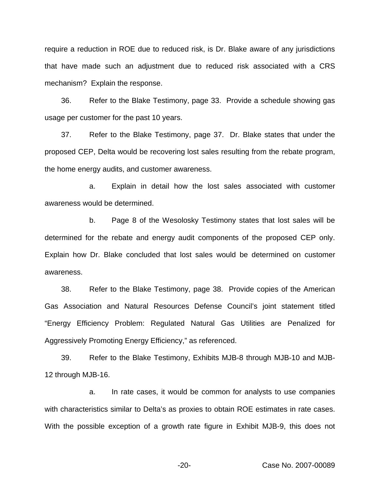require a reduction in ROE due to reduced risk, is Dr. Blake aware of any jurisdictions that have made such an adjustment due to reduced risk associated with a CRS mechanism? Explain the response.

36. Refer to the Blake Testimony, page 33. Provide a schedule showing gas usage per customer for the past 10 years.

37. Refer to the Blake Testimony, page 37. Dr. Blake states that under the proposed CEP, Delta would be recovering lost sales resulting from the rebate program, the home energy audits, and customer awareness.

a. Explain in detail how the lost sales associated with customer awareness would be determined.

b. Page 8 of the Wesolosky Testimony states that lost sales will be determined for the rebate and energy audit components of the proposed CEP only. Explain how Dr. Blake concluded that lost sales would be determined on customer awareness.

38. Refer to the Blake Testimony, page 38. Provide copies of the American Gas Association and Natural Resources Defense Council's joint statement titled "Energy Efficiency Problem: Regulated Natural Gas Utilities are Penalized for Aggressively Promoting Energy Efficiency," as referenced.

39. Refer to the Blake Testimony, Exhibits MJB-8 through MJB-10 and MJB-12 through MJB-16.

a. In rate cases, it would be common for analysts to use companies with characteristics similar to Delta's as proxies to obtain ROE estimates in rate cases. With the possible exception of a growth rate figure in Exhibit MJB-9, this does not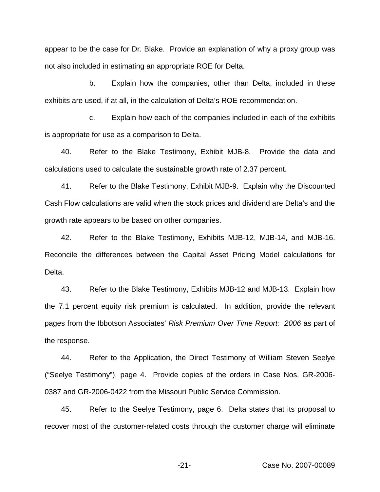appear to be the case for Dr. Blake. Provide an explanation of why a proxy group was not also included in estimating an appropriate ROE for Delta.

b. Explain how the companies, other than Delta, included in these exhibits are used, if at all, in the calculation of Delta's ROE recommendation.

c. Explain how each of the companies included in each of the exhibits is appropriate for use as a comparison to Delta.

40. Refer to the Blake Testimony, Exhibit MJB-8. Provide the data and calculations used to calculate the sustainable growth rate of 2.37 percent.

41. Refer to the Blake Testimony, Exhibit MJB-9. Explain why the Discounted Cash Flow calculations are valid when the stock prices and dividend are Delta's and the growth rate appears to be based on other companies.

42. Refer to the Blake Testimony, Exhibits MJB-12, MJB-14, and MJB-16. Reconcile the differences between the Capital Asset Pricing Model calculations for Delta.

43. Refer to the Blake Testimony, Exhibits MJB-12 and MJB-13. Explain how the 7.1 percent equity risk premium is calculated. In addition, provide the relevant pages from the Ibbotson Associates' *Risk Premium Over Time Report: 2006* as part of the response.

44. Refer to the Application, the Direct Testimony of William Steven Seelye ("Seelye Testimony"), page 4. Provide copies of the orders in Case Nos. GR-2006- 0387 and GR-2006-0422 from the Missouri Public Service Commission.

45. Refer to the Seelye Testimony, page 6. Delta states that its proposal to recover most of the customer-related costs through the customer charge will eliminate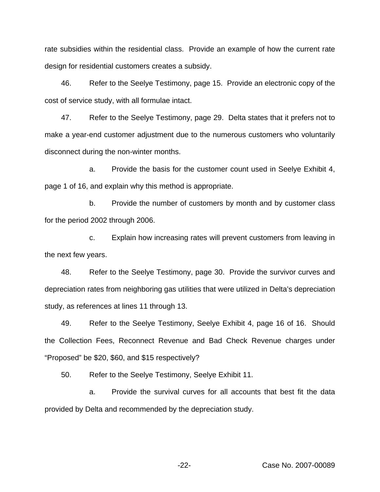rate subsidies within the residential class. Provide an example of how the current rate design for residential customers creates a subsidy.

46. Refer to the Seelye Testimony, page 15. Provide an electronic copy of the cost of service study, with all formulae intact.

47. Refer to the Seelye Testimony, page 29. Delta states that it prefers not to make a year-end customer adjustment due to the numerous customers who voluntarily disconnect during the non-winter months.

a. Provide the basis for the customer count used in Seelye Exhibit 4, page 1 of 16, and explain why this method is appropriate.

b. Provide the number of customers by month and by customer class for the period 2002 through 2006.

c. Explain how increasing rates will prevent customers from leaving in the next few years.

48. Refer to the Seelye Testimony, page 30. Provide the survivor curves and depreciation rates from neighboring gas utilities that were utilized in Delta's depreciation study, as references at lines 11 through 13.

49. Refer to the Seelye Testimony, Seelye Exhibit 4, page 16 of 16. Should the Collection Fees, Reconnect Revenue and Bad Check Revenue charges under "Proposed" be \$20, \$60, and \$15 respectively?

50. Refer to the Seelye Testimony, Seelye Exhibit 11.

a. Provide the survival curves for all accounts that best fit the data provided by Delta and recommended by the depreciation study.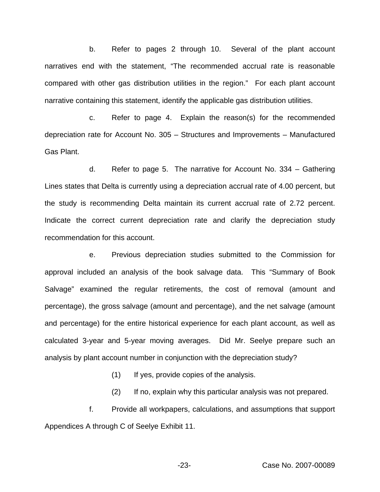b. Refer to pages 2 through 10. Several of the plant account narratives end with the statement, "The recommended accrual rate is reasonable compared with other gas distribution utilities in the region." For each plant account narrative containing this statement, identify the applicable gas distribution utilities.

c. Refer to page 4. Explain the reason(s) for the recommended depreciation rate for Account No. 305 – Structures and Improvements – Manufactured Gas Plant.

d. Refer to page 5. The narrative for Account No. 334 – Gathering Lines states that Delta is currently using a depreciation accrual rate of 4.00 percent, but the study is recommending Delta maintain its current accrual rate of 2.72 percent. Indicate the correct current depreciation rate and clarify the depreciation study recommendation for this account.

e. Previous depreciation studies submitted to the Commission for approval included an analysis of the book salvage data. This "Summary of Book Salvage" examined the regular retirements, the cost of removal (amount and percentage), the gross salvage (amount and percentage), and the net salvage (amount and percentage) for the entire historical experience for each plant account, as well as calculated 3-year and 5-year moving averages. Did Mr. Seelye prepare such an analysis by plant account number in conjunction with the depreciation study?

(1) If yes, provide copies of the analysis.

(2) If no, explain why this particular analysis was not prepared.

f. Provide all workpapers, calculations, and assumptions that support Appendices A through C of Seelye Exhibit 11.

-23- Case No. 2007-00089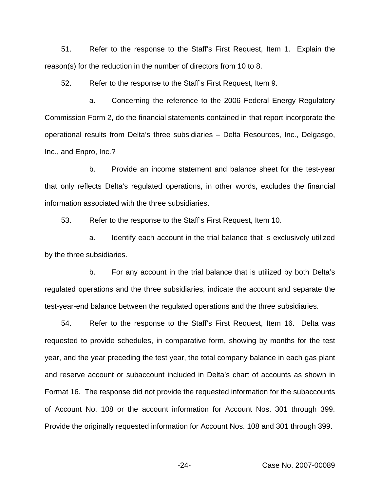51. Refer to the response to the Staff's First Request, Item 1. Explain the reason(s) for the reduction in the number of directors from 10 to 8.

52. Refer to the response to the Staff's First Request, Item 9.

a. Concerning the reference to the 2006 Federal Energy Regulatory Commission Form 2, do the financial statements contained in that report incorporate the operational results from Delta's three subsidiaries – Delta Resources, Inc., Delgasgo, Inc., and Enpro, Inc.?

b. Provide an income statement and balance sheet for the test-year that only reflects Delta's regulated operations, in other words, excludes the financial information associated with the three subsidiaries.

53. Refer to the response to the Staff's First Request, Item 10.

a. Identify each account in the trial balance that is exclusively utilized by the three subsidiaries.

b. For any account in the trial balance that is utilized by both Delta's regulated operations and the three subsidiaries, indicate the account and separate the test-year-end balance between the regulated operations and the three subsidiaries.

54. Refer to the response to the Staff's First Request, Item 16. Delta was requested to provide schedules, in comparative form, showing by months for the test year, and the year preceding the test year, the total company balance in each gas plant and reserve account or subaccount included in Delta's chart of accounts as shown in Format 16. The response did not provide the requested information for the subaccounts of Account No. 108 or the account information for Account Nos. 301 through 399. Provide the originally requested information for Account Nos. 108 and 301 through 399.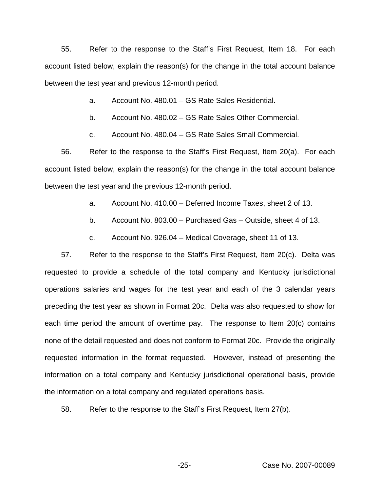55. Refer to the response to the Staff's First Request, Item 18. For each account listed below, explain the reason(s) for the change in the total account balance between the test year and previous 12-month period.

- a. Account No. 480.01 GS Rate Sales Residential.
- b. Account No. 480.02 GS Rate Sales Other Commercial.
- c. Account No. 480.04 GS Rate Sales Small Commercial.

56. Refer to the response to the Staff's First Request, Item 20(a). For each account listed below, explain the reason(s) for the change in the total account balance between the test year and the previous 12-month period.

- a. Account No. 410.00 Deferred Income Taxes, sheet 2 of 13.
- b. Account No. 803.00 Purchased Gas Outside, sheet 4 of 13.
- c. Account No. 926.04 Medical Coverage, sheet 11 of 13.

57. Refer to the response to the Staff's First Request, Item 20(c). Delta was requested to provide a schedule of the total company and Kentucky jurisdictional operations salaries and wages for the test year and each of the 3 calendar years preceding the test year as shown in Format 20c. Delta was also requested to show for each time period the amount of overtime pay. The response to Item 20(c) contains none of the detail requested and does not conform to Format 20c. Provide the originally requested information in the format requested. However, instead of presenting the information on a total company and Kentucky jurisdictional operational basis, provide the information on a total company and regulated operations basis.

58. Refer to the response to the Staff's First Request, Item 27(b).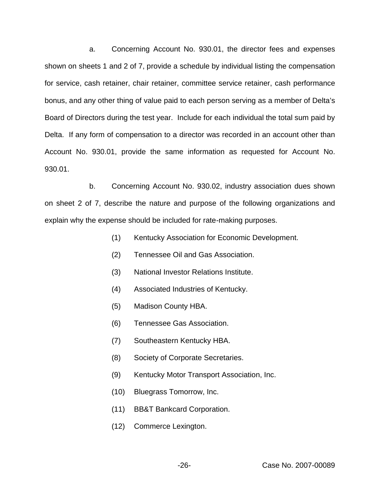a. Concerning Account No. 930.01, the director fees and expenses shown on sheets 1 and 2 of 7, provide a schedule by individual listing the compensation for service, cash retainer, chair retainer, committee service retainer, cash performance bonus, and any other thing of value paid to each person serving as a member of Delta's Board of Directors during the test year. Include for each individual the total sum paid by Delta. If any form of compensation to a director was recorded in an account other than Account No. 930.01, provide the same information as requested for Account No. 930.01.

b. Concerning Account No. 930.02, industry association dues shown on sheet 2 of 7, describe the nature and purpose of the following organizations and explain why the expense should be included for rate-making purposes.

- (1) Kentucky Association for Economic Development.
- (2) Tennessee Oil and Gas Association.
- (3) National Investor Relations Institute.
- (4) Associated Industries of Kentucky.
- (5) Madison County HBA.
- (6) Tennessee Gas Association.
- (7) Southeastern Kentucky HBA.
- (8) Society of Corporate Secretaries.
- (9) Kentucky Motor Transport Association, Inc.
- (10) Bluegrass Tomorrow, Inc.
- (11) BB&T Bankcard Corporation.
- (12) Commerce Lexington.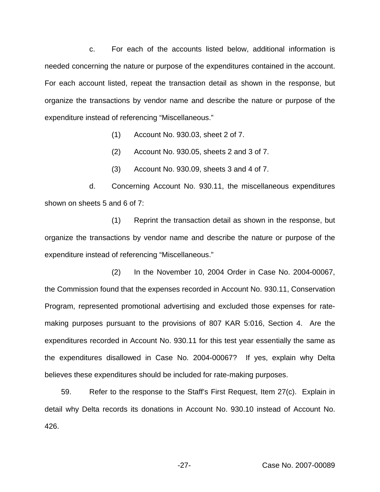c. For each of the accounts listed below, additional information is needed concerning the nature or purpose of the expenditures contained in the account. For each account listed, repeat the transaction detail as shown in the response, but organize the transactions by vendor name and describe the nature or purpose of the expenditure instead of referencing "Miscellaneous."

- (1) Account No. 930.03, sheet 2 of 7.
- (2) Account No. 930.05, sheets 2 and 3 of 7.
- (3) Account No. 930.09, sheets 3 and 4 of 7.

d. Concerning Account No. 930.11, the miscellaneous expenditures shown on sheets 5 and 6 of 7:

(1) Reprint the transaction detail as shown in the response, but organize the transactions by vendor name and describe the nature or purpose of the expenditure instead of referencing "Miscellaneous."

(2) In the November 10, 2004 Order in Case No. 2004-00067, the Commission found that the expenses recorded in Account No. 930.11, Conservation Program, represented promotional advertising and excluded those expenses for ratemaking purposes pursuant to the provisions of 807 KAR 5:016, Section 4. Are the expenditures recorded in Account No. 930.11 for this test year essentially the same as the expenditures disallowed in Case No. 2004-00067? If yes, explain why Delta believes these expenditures should be included for rate-making purposes.

59. Refer to the response to the Staff's First Request, Item 27(c). Explain in detail why Delta records its donations in Account No. 930.10 instead of Account No. 426.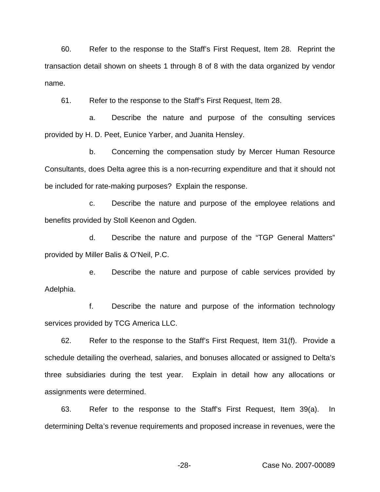60. Refer to the response to the Staff's First Request, Item 28. Reprint the transaction detail shown on sheets 1 through 8 of 8 with the data organized by vendor name.

61. Refer to the response to the Staff's First Request, Item 28.

a. Describe the nature and purpose of the consulting services provided by H. D. Peet, Eunice Yarber, and Juanita Hensley.

b. Concerning the compensation study by Mercer Human Resource Consultants, does Delta agree this is a non-recurring expenditure and that it should not be included for rate-making purposes? Explain the response.

c. Describe the nature and purpose of the employee relations and benefits provided by Stoll Keenon and Ogden.

d. Describe the nature and purpose of the "TGP General Matters" provided by Miller Balis & O'Neil, P.C.

e. Describe the nature and purpose of cable services provided by Adelphia.

f. Describe the nature and purpose of the information technology services provided by TCG America LLC.

62. Refer to the response to the Staff's First Request, Item 31(f). Provide a schedule detailing the overhead, salaries, and bonuses allocated or assigned to Delta's three subsidiaries during the test year. Explain in detail how any allocations or assignments were determined.

63. Refer to the response to the Staff's First Request, Item 39(a). In determining Delta's revenue requirements and proposed increase in revenues, were the